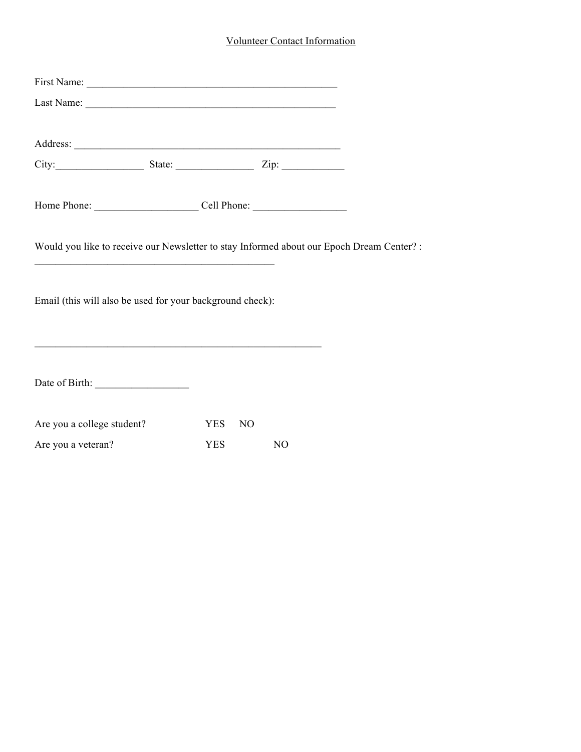## Volunteer Contact Information

| City: $\qquad \qquad$ State: $\qquad \qquad$ Zip:                                                                |                       |    |  |
|------------------------------------------------------------------------------------------------------------------|-----------------------|----|--|
|                                                                                                                  |                       |    |  |
|                                                                                                                  |                       |    |  |
|                                                                                                                  |                       |    |  |
| Would you like to receive our Newsletter to stay Informed about our Epoch Dream Center? :                        |                       |    |  |
|                                                                                                                  |                       |    |  |
|                                                                                                                  |                       |    |  |
| Email (this will also be used for your background check):                                                        |                       |    |  |
|                                                                                                                  |                       |    |  |
| and the control of the control of the control of the control of the control of the control of the control of the |                       |    |  |
|                                                                                                                  |                       |    |  |
|                                                                                                                  |                       |    |  |
| Are you a college student?                                                                                       | YES<br>N <sub>O</sub> |    |  |
| Are you a veteran?                                                                                               | <b>YES</b>            | NO |  |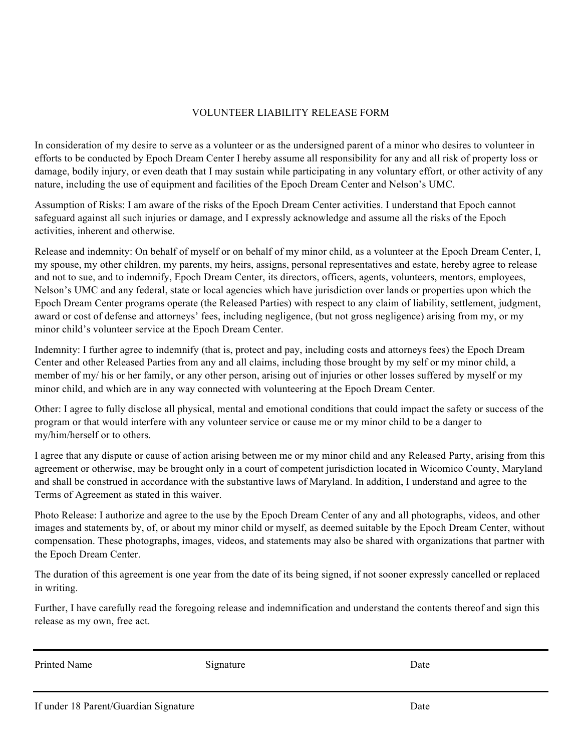## VOLUNTEER LIABILITY RELEASE FORM

In consideration of my desire to serve as a volunteer or as the undersigned parent of a minor who desires to volunteer in efforts to be conducted by Epoch Dream Center I hereby assume all responsibility for any and all risk of property loss or damage, bodily injury, or even death that I may sustain while participating in any voluntary effort, or other activity of any nature, including the use of equipment and facilities of the Epoch Dream Center and Nelson's UMC.

Assumption of Risks: I am aware of the risks of the Epoch Dream Center activities. I understand that Epoch cannot safeguard against all such injuries or damage, and I expressly acknowledge and assume all the risks of the Epoch activities, inherent and otherwise.

Release and indemnity: On behalf of myself or on behalf of my minor child, as a volunteer at the Epoch Dream Center, I, my spouse, my other children, my parents, my heirs, assigns, personal representatives and estate, hereby agree to release and not to sue, and to indemnify, Epoch Dream Center, its directors, officers, agents, volunteers, mentors, employees, Nelson's UMC and any federal, state or local agencies which have jurisdiction over lands or properties upon which the Epoch Dream Center programs operate (the Released Parties) with respect to any claim of liability, settlement, judgment, award or cost of defense and attorneys' fees, including negligence, (but not gross negligence) arising from my, or my minor child's volunteer service at the Epoch Dream Center.

Indemnity: I further agree to indemnify (that is, protect and pay, including costs and attorneys fees) the Epoch Dream Center and other Released Parties from any and all claims, including those brought by my self or my minor child, a member of my/ his or her family, or any other person, arising out of injuries or other losses suffered by myself or my minor child, and which are in any way connected with volunteering at the Epoch Dream Center.

Other: I agree to fully disclose all physical, mental and emotional conditions that could impact the safety or success of the program or that would interfere with any volunteer service or cause me or my minor child to be a danger to my/him/herself or to others.

I agree that any dispute or cause of action arising between me or my minor child and any Released Party, arising from this agreement or otherwise, may be brought only in a court of competent jurisdiction located in Wicomico County, Maryland and shall be construed in accordance with the substantive laws of Maryland. In addition, I understand and agree to the Terms of Agreement as stated in this waiver.

Photo Release: I authorize and agree to the use by the Epoch Dream Center of any and all photographs, videos, and other images and statements by, of, or about my minor child or myself, as deemed suitable by the Epoch Dream Center, without compensation. These photographs, images, videos, and statements may also be shared with organizations that partner with the Epoch Dream Center.

The duration of this agreement is one year from the date of its being signed, if not sooner expressly cancelled or replaced in writing.

Further, I have carefully read the foregoing release and indemnification and understand the contents thereof and sign this release as my own, free act.

Printed Name Signature Signature Date Date